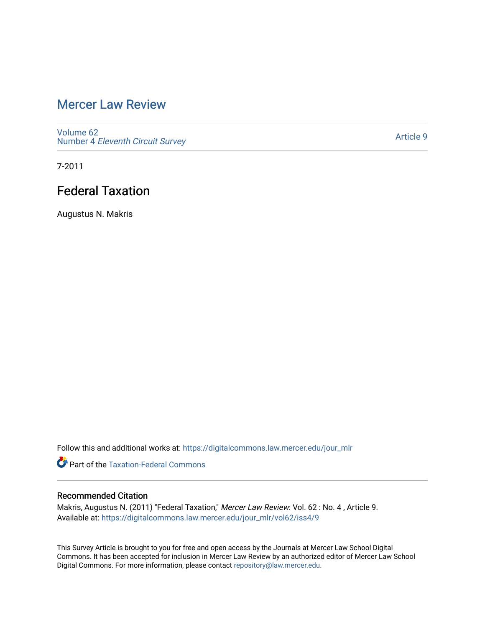## [Mercer Law Review](https://digitalcommons.law.mercer.edu/jour_mlr)

[Volume 62](https://digitalcommons.law.mercer.edu/jour_mlr/vol62) Number 4 [Eleventh Circuit Survey](https://digitalcommons.law.mercer.edu/jour_mlr/vol62/iss4) 

[Article 9](https://digitalcommons.law.mercer.edu/jour_mlr/vol62/iss4/9) 

7-2011

# Federal Taxation

Augustus N. Makris

Follow this and additional works at: [https://digitalcommons.law.mercer.edu/jour\\_mlr](https://digitalcommons.law.mercer.edu/jour_mlr?utm_source=digitalcommons.law.mercer.edu%2Fjour_mlr%2Fvol62%2Fiss4%2F9&utm_medium=PDF&utm_campaign=PDFCoverPages)

**C** Part of the [Taxation-Federal Commons](http://network.bepress.com/hgg/discipline/881?utm_source=digitalcommons.law.mercer.edu%2Fjour_mlr%2Fvol62%2Fiss4%2F9&utm_medium=PDF&utm_campaign=PDFCoverPages)

## Recommended Citation

Makris, Augustus N. (2011) "Federal Taxation," Mercer Law Review: Vol. 62 : No. 4 , Article 9. Available at: [https://digitalcommons.law.mercer.edu/jour\\_mlr/vol62/iss4/9](https://digitalcommons.law.mercer.edu/jour_mlr/vol62/iss4/9?utm_source=digitalcommons.law.mercer.edu%2Fjour_mlr%2Fvol62%2Fiss4%2F9&utm_medium=PDF&utm_campaign=PDFCoverPages)

This Survey Article is brought to you for free and open access by the Journals at Mercer Law School Digital Commons. It has been accepted for inclusion in Mercer Law Review by an authorized editor of Mercer Law School Digital Commons. For more information, please contact [repository@law.mercer.edu](mailto:repository@law.mercer.edu).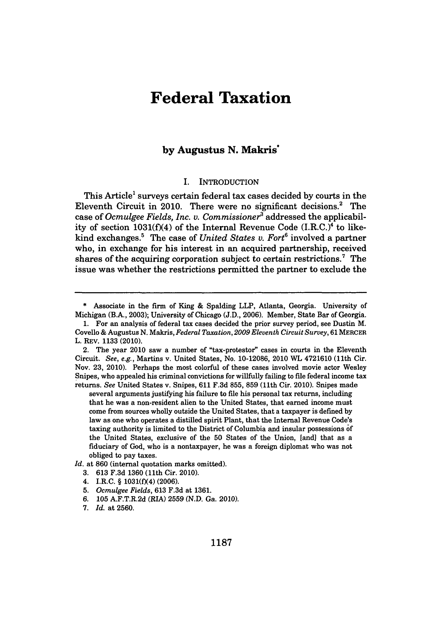## **Federal Taxation**

### **by Augustus N. Makris'**

### I. INTRODUCTION

This Article' surveys certain federal tax cases decided **by** courts in the Eleventh Circuit in 2010. There were no significant decisions.' The case of *Ocmulgee Fields, Inc. v. Commissioner* addressed the applicability of section 1031(f)(4) of the Internal Revenue Code (I.R.C.)<sup>4</sup> to likekind exchanges.' The case of *United States v. Fort6* involved a partner who, in exchange for his interest in an acquired partnership, received shares of the acquiring corporation subject to certain restrictions.<sup>7</sup> The issue was whether the restrictions permitted the partner to exclude the

several arguments justifying his failure to file his personal tax returns, including that he was a non-resident alien to the United States, that earned income must come from sources wholly outside the United States, that a taxpayer is defined **by** law as one who operates a distilled spirit Plant, that the Internal Revenue Code's taxing authority is limited to the District of Columbia and insular possessions **of** the United States, exclusive of the **50** States of the Union, [and] that as a fiduciary of God, who is a nontaxpayer, he was a foreign diplomat who was not obliged to pay taxes.

*Id.* at **860** (internal quotation marks omitted).

- **3. 613 F.3d 1360** (11th Cir. 2010).
- 4. I.R.C. **§ 1031(fX4) (2006).**

**<sup>\*</sup>** Associate in the firm of King **&** Spalding LLP, Atlanta, Georgia. University of Michigan (B.A., **2003);** University of Chicago **(J.D., 2006).** Member, State Bar of Georgia.

**<sup>1.</sup>** For an analysis of federal tax cases decided the prior survey period, see Dustin M. Covello **&** Augustus **N.** *Makris, Federal Taxation, 2009 Eleventh Circuit Survey,* **61** MERCER L. REV. **1133** (2010).

<sup>2.</sup> The year 2010 saw a number of "tax-protestor" cases in courts in the Eleventh Circuit. *See, e.g.,* Martins v. United States, No. **10-12086,** 2010 WL 4721610 (11th Cir. Nov. **23,** 2010). Perhaps the most colorful of these cases involved movie actor Wesley Snipes, who appealed his criminal convictions for willfully failing to file federal income tax returns. *See* United States v. Snipes, **611 F.3d 855, 859** (11th Cir. 2010). Snipes made

**<sup>5.</sup>** *Ocmulgee Fields,* **613 F.3d** at **1361.**

*<sup>6.</sup>* **105** A.F.T.R.2d (RIA) **2559 (N.D.** Ga. 2010).

**<sup>7.</sup>** *Id.* at **2560.**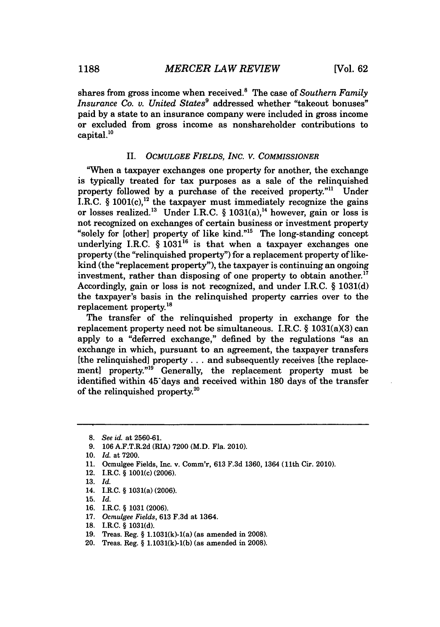shares from gross income when received.' The case of *Southern Family Insurance Co. v. United States*<sup>9</sup> addressed whether "takeout bonuses" paid **by** a state to an insurance company were included in gross income or excluded from gross income as nonshareholder contributions to  $capital.<sup>10</sup>$ 

### II. *OCMULGEE FIELDS, INC. V. COMMISSIONER*

"When a taxpayer exchanges one property for another, the exchange is typically treated for tax purposes as a sale of the relinquished property followed by a purchase of the received property."<sup>11</sup> Under I.R.C.  $\S$  1001(c),<sup>12</sup> the taxpayer must immediately recognize the gains or losses realized.<sup>13</sup> Under I.R.C. § 1031(a),<sup>14</sup> however, gain or loss is not recognized on exchanges of certain business or investment property "solely for [other] property of like kind."<sup>15</sup> The long-standing concept underlying I.R.C. § 1031<sup>16</sup> is that when a taxpayer exchanges one property (the "relinquished property") for a replacement property of likekind (the "replacement property"), the taxpayer is continuing an ongoing investment, rather than disposing of one property to obtain another.<sup>17</sup> Accordingly, gain or loss is not recognized, and under I.R.C. *§* **1031(d)** the taxpayer's basis in the relinquished property carries over to the replacement property.18

The transfer of the relinquished property in exchange for the replacement property need not be simultaneous. I.R.C.  $\S$  1031(a)(3) can apply to a "deferred exchange," defined **by** the regulations "as an exchange in which, pursuant to an agreement, the taxpayer transfers [the relinquished] property **. . .** and subsequently receives [the replacement] property."<sup>19</sup> Generally, the replacement property must be identified within 45'days and received within **180** days of the transfer of the relinquished property.20

**<sup>8.</sup>** *See id. at* **2560-61.**

**<sup>9. 106</sup>** A.F.T.R.2d (RIA) **7200** (M.D. Fla. 2010).

**<sup>10.</sup>** *Id.* at **7200.**

**<sup>11.</sup>** Ocmulgee Fields, Inc. v. Comm'r, **613 F.3d 1360,** 1364 **(11th** Cir. 2010).

<sup>12.</sup> I.R.C. *§* 1001(c) **(2006).**

**<sup>13.</sup>** *Id.*

<sup>14.</sup> I.R.C. **§** 1031(a) **(2006).**

**<sup>15.</sup>** *Id.*

**<sup>16.</sup>** I.R.C. *§* **1031 (2006).**

**<sup>17.</sup>** *Ocmulgee Fields,* **613 F.3d** at 1364.

**<sup>18.</sup>** I.R.C. *§* **1031(d).**

**<sup>19.</sup>** Treas. Reg. *§* 1.1031(k)-1(a) (as amended in **2008).**

<sup>20.</sup> Treas. Reg. *§* **1.1031(k)-1(b)** (as amended in **2008).**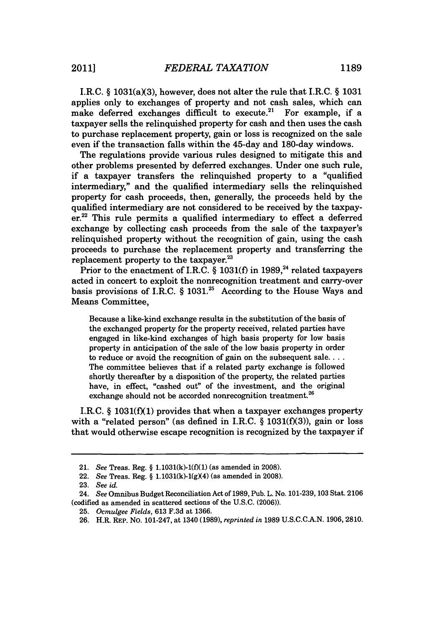I.R.C.  $\S$  1031(a)(3), however, does not alter the rule that I.R.C.  $\S$  1031 applies only to exchanges of property and not cash sales, which can make deferred exchanges difficult to execute.<sup>21</sup> For example, if a taxpayer sells the relinquished property for cash and then uses the cash to purchase replacement property, gain or loss is recognized on the sale even if the transaction falls within the 45-day and 180-day windows.

The regulations provide various rules designed to mitigate this and other problems presented **by** deferred exchanges. Under one such rule, if a taxpayer transfers the relinquished property to a "qualified intermediary," and the qualified intermediary sells the relinquished property for cash proceeds, then, generally, the proceeds held **by** the qualified intermediary are not considered to be received **by** the taxpayer.<sup>22</sup> This rule permits a qualified intermediary to effect a deferred exchange **by** collecting cash proceeds from the sale of the taxpayer's relinquished property without the recognition of gain, using the cash proceeds to purchase the replacement property and transferring the replacement property to the taxpayer.<sup>23</sup>

Prior to the enactment of I.R.C. § 1031(f) in 1989,<sup>24</sup> related taxpayers acted in concert to exploit the nonrecognition treatment and carry-over basis provisions of I.R.C. *§* **1031.25** According to the House Ways and Means Committee,

Because a like-kind exchange results in the substitution of the basis of the exchanged property for the property received, related parties have engaged in like-kind exchanges of high basis property for low basis property in anticipation of the sale of the low basis property in order to reduce or avoid the recognition of gain on the subsequent **sale.....** The committee believes that if a related party exchange is followed shortly thereafter **by** a disposition of the property, the related parties have, in effect, "cashed out" of the investment, and the original exchange should not be accorded nonrecognition treatment.<sup>26</sup>

I.R.C. § 1031(f)(1) provides that when a taxpayer exchanges property with a "related person" (as defined in I.R.C. *§* **1031(f)(3)),** gain or loss that would otherwise escape recognition is recognized **by** the taxpayer if

<sup>21.</sup> *See* Treas. Reg. **§ 1.1031(k)-1(f)(1)** (as amended in **2008).**

<sup>22.</sup> *See* Treas. Reg. **§ 1.1031(k)-1(gX4)** (as amended in **2008).**

**<sup>23.</sup>** *See id.*

<sup>24.</sup> See Omnibus Budget Reconciliation Act of **1989,** Pub. L. No. **101-239, 103** Stat. **2106** (codified as amended **in** scattered sections of the **U.S.C. (2006)).**

**<sup>25.</sup>** *Ocmulgee Fields,* **613 F.3d** at **1366.**

**<sup>26.</sup>** H.R. REP. No. 101-247, at 1340 **(1989),** *reprinted in* **1989 U.S.C.C.A.N. 1906, 2810.**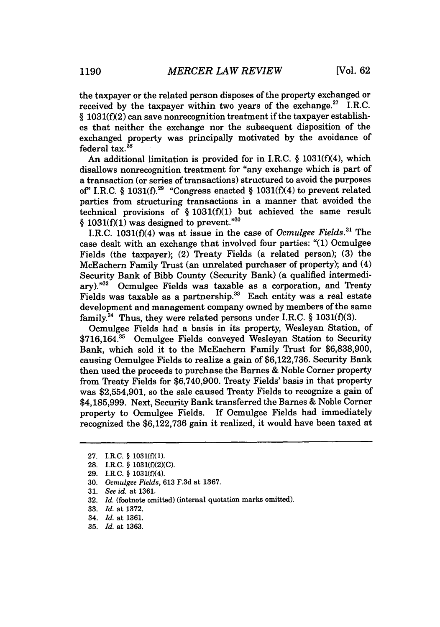the taxpayer or the related person disposes of the property exchanged or received by the taxpayer within two years of the exchange.<sup>27</sup> I.R.C. *§* **1031(f(2)** can save nonrecognition treatment if the taxpayer establishes that neither the exchange nor the subsequent disposition of the exchanged property was principally motivated **by** the avoidance of federal tax. $^{28}$ 

An additional limitation is provided for in I.R.C. *§* **1031(f)(4),** which disallows nonrecognition treatment for "any exchange which is part of a transaction (or series of transactions) structured to avoid the purposes of" I.R.C.  $\frac{8}{3}$  1031(f).<sup>29</sup> "Congress enacted  $\frac{8}{3}$  1031(f)(4) to prevent related parties from structuring transactions in a manner that avoided the technical provisions of *§* **1031(f)(1)** but achieved the same result § 1031(f)(1) was designed to prevent."<sup>30</sup>

I.R.C. **1031(f)(4)** was at issue in the case of *Ocmulgee Fields."1* The case dealt with an exchange that involved four parties: "(1) Ocmulgee Fields (the taxpayer); (2) Treaty Fields (a related person); **(3)** the McEachern Family Trust (an unrelated purchaser of property); and (4) Security Bank of Bibb County (Security Bank) (a qualified intermediary)."<sup>32</sup> Ocmulgee Fields was taxable as a corporation, and Treaty Fields was taxable as a partnership.<sup>33</sup> Each entity was a real estate development and management company owned **by** members of the same family. 4 Thus, they were related persons under I.R.C. *§* **1031(f)(3).**

Ocmulgee Fields had a basis in its property, Wesleyan Station, of **\$716,164."** Ocmulgee Fields conveyed Wesleyan Station to Security Bank, which sold it to the McEachern Family Trust for **\$6,838,900,** causing Ocmulgee Fields to realize a gain of **\$6,122,736.** Security Bank then used the proceeds to purchase the Barnes **&** Noble Corner property from Treaty Fields for **\$6,740,900.** Treaty Fields' basis in that property was \$2,554,901, so the sale caused Treaty Fields to recognize a gain of **\$4,185,999.** Next, Security Bank transferred the Barnes **&** Noble Corner property to Ocmulgee Fields. If Ocmulgee Fields had immediately recognized the **\$6,122,736** gain it realized, it would have been taxed at

**<sup>27.</sup>** I.R.C. **§ 1031(f)(1).**

**<sup>28.</sup>** I.R.C. **§ 1031(f)(2)(C).**

**<sup>29.</sup>** I.R.C. **§ 1031(f)(4).**

**<sup>30.</sup>** *Ocmulgee Fields,* **613 F.3d** *at* **1367.**

**<sup>31.</sup>** *See id. at* **1361.**

**<sup>32.</sup>** *Id.* (footnote omitted) (internal quotation marks omitted).

**<sup>33.</sup>** *Id.* at **1372.**

<sup>34.</sup> *Id.* at **1361.**

**<sup>35.</sup>** *Id.* at **1363.**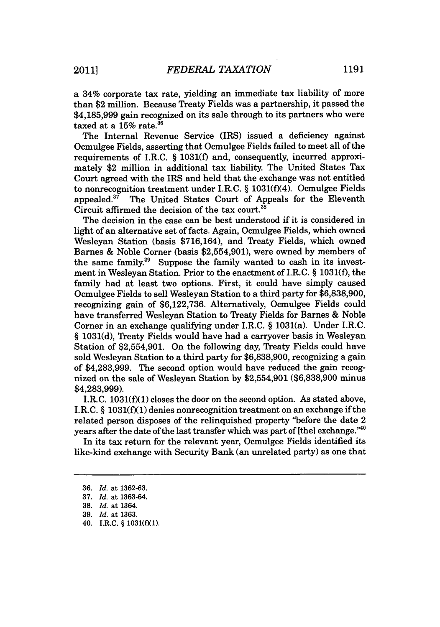a 34% corporate tax rate, yielding an immediate tax liability of more than \$2 million. Because Treaty Fields was a partnership, it passed the **\$4,185,999** gain recognized on its sale through to its partners who were taxed at a **15%** rate.36

The Internal Revenue Service (IRS) issued a deficiency against Ocmulgee Fields, asserting that Ocmulgee Fields failed to meet all of the requirements of I.R.C. *§* **1031(f)** and, consequently, incurred approximately \$2 million in additional tax liability. The United States Tax Court agreed with the IRS and held that the exchange was not entitled to nonrecognition treatment under I.R.C. § 1031(f)(4). Ocmulgee Fields appealed.<sup>37</sup> The United States Court of Appeals for the Eleventh The United States Court of Appeals for the Eleventh Circuit affirmed the decision of the tax court.<sup>38</sup>

The decision in the case can be best understood if it is considered in light of an alternative set of facts. Again, Ocmulgee Fields, which owned Wesleyan Station (basis **\$716,164),** and Treaty Fields, which owned Barnes **&** Noble Corner (basis \$2,554,901), were owned **by** members of the same family.<sup>39</sup> Suppose the family wanted to cash in its investment in Wesleyan Station. Prior to the enactment of I.R.C. *§* **1031(f),** the family had at least two options. First, it could have simply caused Ocmulgee Fields to sell Wesleyan Station to a third party for **\$6,838,900,** recognizing gain of **\$6,122,736.** Alternatively, Ocmulgee Fields could have transferred Wesleyan Station to Treaty Fields for Barnes **&** Noble Corner in an exchange qualifying under I.R.C. *§* 1031(a). Under I.R.C. *§* **1031(d),** Treaty Fields would have had a carryover basis in Wesleyan Station of \$2,554,901. On the following day, Treaty Fields could have sold Wesleyan Station to a third party for **\$6,838,900,** recognizing a gain of **\$4,283,999.** The second option would have reduced the gain recognized on the sale of Wesleyan Station **by** \$2,554,901 **(\$6,838,900** minus **\$4,283,999).**

I.R.C. **1031(f)(1)** closes the door on the second option. As stated above, I.R.C. *§* **1031(f)(1)** denies nonrecognition treatment on an exchange if the related person disposes of the relinquished property "before the date 2 years after the date of the last transfer which was part of [the] exchange."<sup>40</sup>

In its tax return for the relevant year, Ocmulgee Fields identified its like-kind exchange with Security Bank (an unrelated party) as one that

40. I.R.C. **§ 1031(f(1).**

**<sup>36.</sup>** *Id.* at **1362-63.**

**<sup>37.</sup>** *Id.* at **1363-64.**

**<sup>38.</sup>** *Id.* at 1364.

**<sup>39.</sup>** *Id.* at **1363.**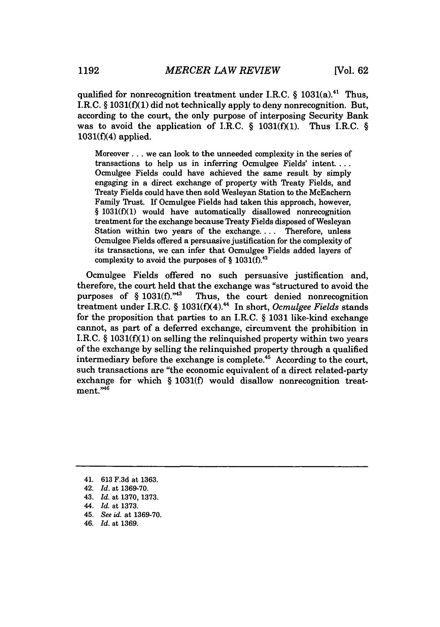qualified for nonrecognition treatment under I.R.C. *§* 1031(a)."' Thus, I.R.C. *§* **1031(f)(1)** did not technically apply to deny nonrecognition. But, according to the court, the only purpose of interposing Security Bank was to avoid the application of I.R.C. *§* **1031(f)(1).** Thus I.R.C. *§* **1031(f)(4)** applied.

Moreover .. **.** we can look to the unneeded complexity in the series of transactions to help us in inferring Ocmulgee Fields' intent. **...** Ocmulgee Fields could have achieved the same result **by** simply engaging in a direct exchange of property with Treaty Fields, and Treaty Fields could have then sold Wesleyan Station to the McEachern Family Trust. **If** Ocmulgee Fields had taken this approach, however, **§ 1031(f)(1)** would have automatically disallowed nonrecognition treatment for the exchange because Treaty Fields disposed of Wesleyan Station within two years of the exchange.. . **.** Therefore, unless Ocmulgee Fields offered a persuasive justification for the complexity of its transactions, we can infer that Ocmulgee Fields added layers of complexity to avoid the purposes of **§ 1031(f).**

Ocmulgee Fields offered no such persuasive justification and, therefore, the court held that the exchange was "structured to avoid the purposes of  $\S 1031(f).$ "<sup>43</sup> Thus, the court denied nonrecognition Thus, the court denied nonrecognition treatment under I.R.C. § 1031(f)(4).<sup>44</sup> In short, *Ocmulgee Fields* stands for the proposition that parties to an I.R.C. *§* **1031** like-kind exchange cannot, as part of a deferred exchange, circumvent the prohibition in I.R.C. *§* **1031(f)(1)** on selling the relinquished property within two years of the exchange **by** selling the relinquished property through a qualified intermediary before the exchange is complete. $4<sup>5</sup>$  According to the court, such transactions are "the economic equivalent of a direct related-party exchange for which *§* **1031(f)** would disallow nonrecognition treat $ment. "46"$ 

- 41. **613 F.3d** at **1363.**
- 42. *Id. at* **1369-70.**
- 43. *Id. at* **1370, 1373.**
- 44. *Id.* at **1373.**
- 45. *See id.* at **1369-70.**
- *46. Id.* at **1369.**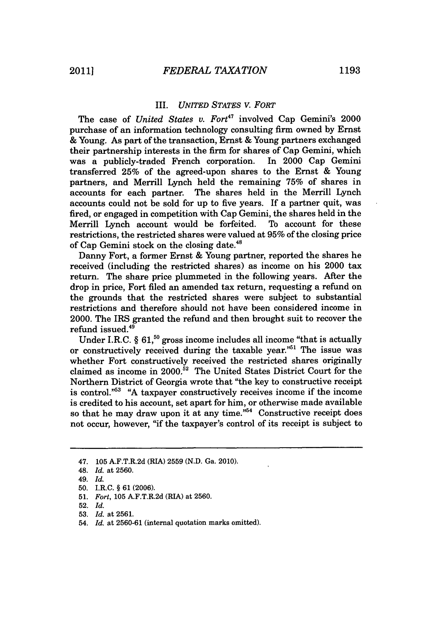### *III. UNITED STATES V. FORT*

The case of *United States v. Fort<sup>47</sup>* involved Cap Gemini's 2000 purchase of an information technology consulting firm owned **by** Ernst **&** Young. As part of the transaction, Ernst **&** Young partners exchanged their partnership interests in the firm for shares of Cap Gemini, which was a publicly-traded French corporation. In 2000 Cap Gemini transferred **25%** of the agreed-upon shares to the Ernst **&** Young partners, and Merrill Lynch held the remaining **75%** of shares in accounts for each partner. The shares held in the Merrill Lynch accounts could not be sold for up to five years. **If** a partner quit, was fired, or engaged in competition with Cap Gemini, the shares held in the Merrill Lynch account would be forfeited. To account for these restrictions, the restricted shares were valued at **95%** of the closing price of Cap Gemini stock on the closing date.<sup>48</sup>

Danny Fort, a former Ernst **&** Young partner, reported the shares he received (including the restricted shares) as income on his 2000 tax return. The share price plummeted in the following years. After the drop in price, Fort filed an amended tax return, requesting a refund on the grounds that the restricted shares were subject to substantial restrictions and therefore should not have been considered income in 2000. The IRS granted the refund and then brought suit to recover the refund issued.<sup>49</sup>

Under I.R.C. § 61,<sup>50</sup> gross income includes all income "that is actually or constructively received during the taxable year."<sup>51</sup> The issue was whether Fort constructively received the restricted shares originally claimed as income in 2000.52 The United States District Court for the Northern District of Georgia wrote that "the key to constructive receipt is control.<sup>"53</sup> "A taxpayer constructively receives income if the income is credited to his account, set apart for him, or otherwise made available so that he may draw upon it at any time."<sup>54</sup> Constructive receipt does not occur, however, "if the taxpayer's control of its receipt is subject to

54. *Id. at* **2560-61** (internal quotation marks omitted).

*<sup>47.</sup>* **105** A.F.T.R.2d (RIA) **2559 (N.D.** Ga. 2010).

<sup>48.</sup> *Id. at* **2560.**

*<sup>49.</sup> Id.*

**<sup>50.</sup>** I.R.C. *§* **61 (2006).**

**<sup>51.</sup>** *Fort,* **105** A.F.T.R.2d (RIA) at **2560.**

**<sup>52.</sup>** *Id.*

**<sup>53.</sup>** *Id. at* **2561.**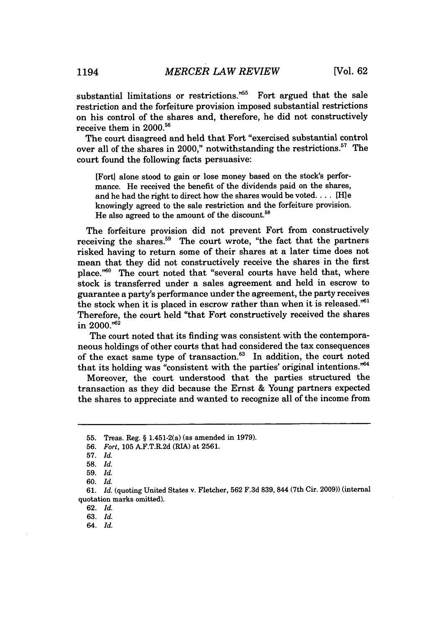substantial limitations or restrictions.<sup> $n55$ </sup> Fort argued that the sale restriction and the forfeiture provision imposed substantial restrictions on his control of the shares and, therefore, he did not constructively receive them in 2000.<sup>56</sup>

The court disagreed and held that Fort "exercised substantial control over all of the shares in 2000," notwithstanding the restrictions. $57$  The court found the following facts persuasive:

[Fort] alone stood to gain or lose money based on the stock's performance. He received the benefit of the dividends paid on the shares, and he had the right to direct how the shares would be **voted....** [H]e knowingly agreed to the sale restriction and the forfeiture provision. He also agreed to the amount of the discount.<sup>58</sup>

The forfeiture provision did not prevent Fort from constructively receiving the shares.<sup>59</sup> The court wrote, "the fact that the partners risked having to return some of their shares at a later time does not mean that they did not constructively receive the shares in the first place."60 The court noted that "several courts have held that, where stock is transferred under a sales agreement and held in escrow to guarantee a party's performance under the agreement, the party receives the stock when it is placed in escrow rather than when it is released."<sup>61</sup> Therefore, the court held "that Fort constructively received the shares in 2000."62

The court noted that its finding was consistent with the contemporaneous holdings of other courts that had considered the tax consequences of the exact same type of transaction.<sup>63</sup> In addition, the court noted that its holding was "consistent with the parties' original intentions. $^{64}$ 

Moreover, the court understood that the parties structured the transaction as they did because the Ernst **&** Young partners expected the shares to appreciate and wanted to recognize all of the income from

**62.** *Id.*

**63.** *Id.*

**<sup>55.</sup>** Treas. Reg. **§** 1.451-2(a) (as amended in **1979).**

**<sup>56.</sup>** *Fort,* **105** A.F.T.R.2d (RIA) at **2561.**

**<sup>57.</sup>** *Id.*

**<sup>58.</sup>** *Id.*

**<sup>59.</sup>** *Id.*

**<sup>60.</sup>** *Id.*

**<sup>61.</sup>** *Id.* (quoting United States v. Fletcher, **562 F.3d 839,** 844 (7th Cir. **2009))** (internal quotation marks omitted).

<sup>64.</sup> *Id.*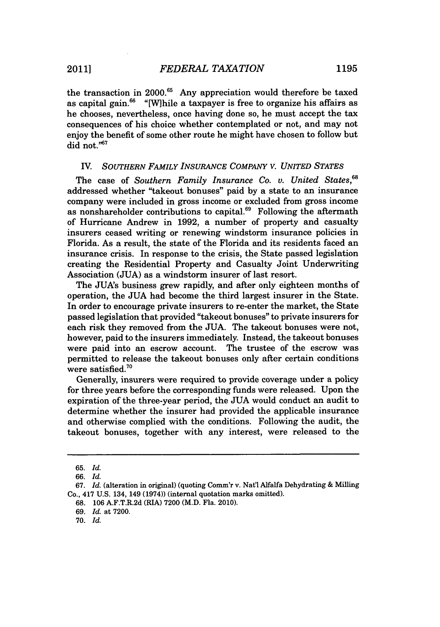the transaction in 2000.<sup>65</sup> Any appreciation would therefore be taxed as capital gain. $66$  "[W] hile a taxpayer is free to organize his affairs as he chooses, nevertheless, once having done so, he must accept the tax consequences of his choice whether contemplated or not, and may not enjoy the benefit of some other route he might have chosen to follow but did not."<sup>67</sup>

### **IV.** SOUTHERN FAMILY INSURANCE COMPANY V. UNITED STATES

The case of *Southern Family Insurance Co. v. United States.*<sup>68</sup> addressed whether "takeout bonuses" paid **by** a state to an insurance company were included in gross income or excluded from gross income as nonshareholder contributions to capital.<sup>69</sup> Following the aftermath of Hurricane Andrew in **1992,** a number of property and casualty insurers ceased writing or renewing windstorm insurance policies in Florida. As a result, the state of the Florida and its residents faced an insurance crisis. In response to the crisis, the State passed legislation creating the Residential Property and Casualty Joint Underwriting Association **(JUA)** as a windstorm insurer of last resort.

The JUA's business grew rapidly, and after only eighteen months of operation, the **JUA** had become the third largest insurer in the State. In order to encourage private insurers to re-enter the market, the State passed legislation that provided "takeout bonuses" to private insurers for each risk they removed from the **JUA.** The takeout bonuses were not, however, paid to the insurers immediately. Instead, the takeout bonuses were paid into an escrow account. The trustee of the escrow was permitted to release the takeout bonuses only after certain conditions were satisfied. $70$ 

Generally, insurers were required to provide coverage under a policy for three years before the corresponding funds were released. Upon the expiration of the three-year period, the **JUA** would conduct an audit to determine whether the insurer had provided the applicable insurance and otherwise complied with the conditions. Following the audit, the takeout bonuses, together with any interest, were released to the

**<sup>65.</sup>** *Id.*

*<sup>66.</sup> Id.*

*<sup>67.</sup> Id.* (alteration in original) (quoting Comm'r v. Nat'l Alfalfa Dehydrating **&** Milling Co., 417 **U.S.** 134, 149 (1974)) (internal quotation marks omitted).

**<sup>68. 106</sup>** A.F.T.R.2d (RIA) **7200** (M.D. Fla. 2010).

*<sup>69.</sup> Id.* at **7200.**

**<sup>70.</sup>** *Id.*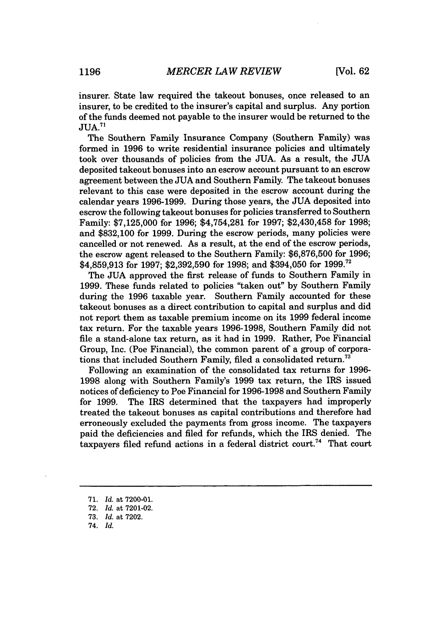insurer. State law required the takeout bonuses, once released to an insurer, to be credited to the insurer's capital and surplus. Any portion of the funds deemed not payable to the insurer would be returned to the  $JUA.<sup>71</sup>$ 

The Southern Family Insurance Company (Southern Family) was formed in **1996** to write residential insurance policies and ultimately took over thousands of policies from the **JUA.** As a result, the **JUA** deposited takeout bonuses into an escrow account pursuant to an escrow agreement between the **JUA** and Southern Family. The takeout bonuses relevant to this case were deposited in the escrow account during the calendar years **1996-1999.** During those years, the **JUA** deposited into escrow the following takeout bonuses for policies transferred to Southern Family: **\$7,125,000** for **1996;** \$4,754,281 for **1997;** \$2,430,458 for **1998;** and **\$832,100** for **1999.** During the escrow periods, many policies were cancelled or not renewed. As a result, at the end of the escrow periods, the escrow agent released to the Southern Family: **\$6,876,500** for **1996; \$4,859,913** for **1997; \$2,392,590** for **1998;** and \$394,050 for **1999.72**

The **JUA** approved the first release of funds to Southern Family in **1999.** These funds related to policies "taken out" **by** Southern Family during the **1996** taxable year. Southern Family accounted for these takeout bonuses as a direct contribution to capital and surplus and did not report them as taxable premium income on its **1999** federal income tax return. For the taxable years **1996-1998,** Southern Family did not file a stand-alone tax return, as it had in **1999.** Rather, Poe Financial Group, Inc. (Poe Financial), the common parent of a group of corporations that included Southern Family, filed a consolidated return.<sup>73</sup>

Following an examination of the consolidated tax returns for **1996- 1998** along with Southern Family's **1999** tax return, the IRS issued notices of deficiency to Poe Financial for **1996-1998** and Southern Family for **1999.** The IRS determined that the taxpayers had improperly treated the takeout bonuses as capital contributions and therefore had erroneously excluded the payments from gross income. The taxpayers paid the deficiencies and filed for refunds, which the IRS denied. The taxpayers filed refund actions in a federal district court.<sup>74</sup> That court

**<sup>71.</sup>** *Id.* at **7200-01.**

**<sup>72.</sup>** *Id.* at **7201-02.**

**<sup>73.</sup>** *Id.* at **7202.**

*<sup>74.</sup> Id.*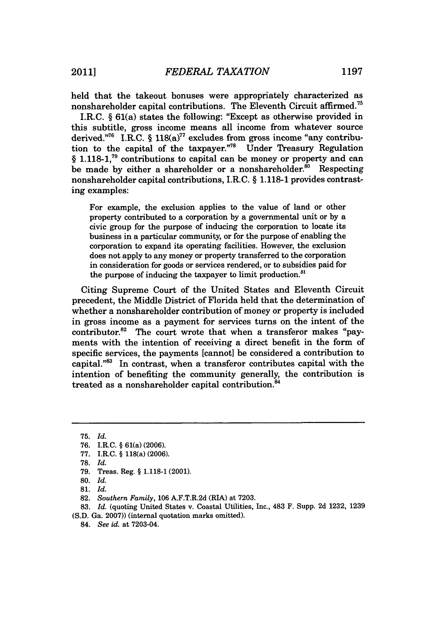held that the takeout bonuses were appropriately characterized as nonshareholder capital contributions. The Eleventh Circuit affirmed.<sup>75</sup>

I.R.C. *§* 61(a) states the following: "Except as otherwise provided in this subtitle, gross income means all income from whatever source derived."<sup>76</sup> I.R.C. § 118(a)<sup>77</sup> excludes from gross income "any contribution to the capital of the taxpayer. $\mathrm{^{778}}$  Under Treasury Regulation *§* **1.118-1,71** contributions to capital can be money or property and can be made by either a shareholder or a nonshareholder.<sup>80</sup> Respecting nonshareholder capital contributions, I.R.C. *§* **1.118-1** provides contrasting examples:

For example, the exclusion applies to the value of land or other property contributed to a corporation **by** a governmental unit or **by** a civic group for the purpose of inducing the corporation to locate its business in a particular community, or for the purpose of enabling the corporation to expand its operating facilities. However, the exclusion does not apply to any money or property transferred to the corporation in consideration for goods or services rendered, or to subsidies paid for the purpose of inducing the taxpayer to limit production.<sup>81</sup>

Citing Supreme Court of the United States and Eleventh Circuit precedent, the Middle District of Florida held that the determination of whether a nonshareholder contribution of money or property is included in gross income as a payment for services turns on the intent of the contributor.<sup>82</sup> The court wrote that when a transferor makes "payments with the intention of receiving a direct benefit in the form of specific services, the payments [cannot] be considered a contribution to capital."<sup>83</sup> In contrast, when a transferor contributes capital with the intention of benefiting the community generally, the contribution is treated as a nonshareholder capital contribution.<sup>84</sup>

84. *See id.* at 7203-04.

**<sup>75.</sup>** *Id.*

**<sup>76.</sup>** I.R.C. **§** 61(a) **(2006).**

**<sup>77.</sup>** I.R.C. **§** 118(a) **(2006).**

**<sup>78.</sup>** *Id.*

**<sup>79.</sup>** Treas. Reg. **§ 1.118-1** (2001).

**<sup>80.</sup>** *Id.*

**<sup>81.</sup>** *Id.*

**<sup>82.</sup>** *Southern Family,* **106** A.F.T.R.2d (RIA) at **7203.**

**<sup>83.</sup>** *Id.* (quoting United States v. Coastal Utilities, Inc., 483 F. Supp. **2d 1232, 1239 (S.D.** Ga. **2007))** (internal quotation marks omitted).